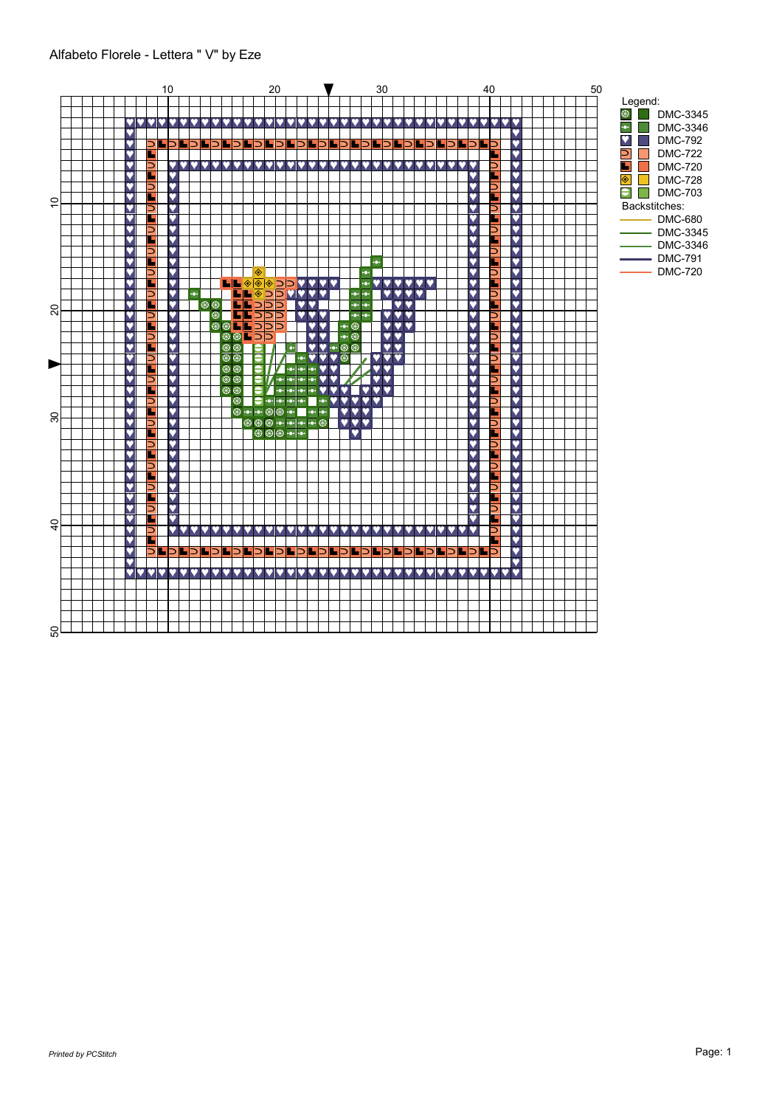